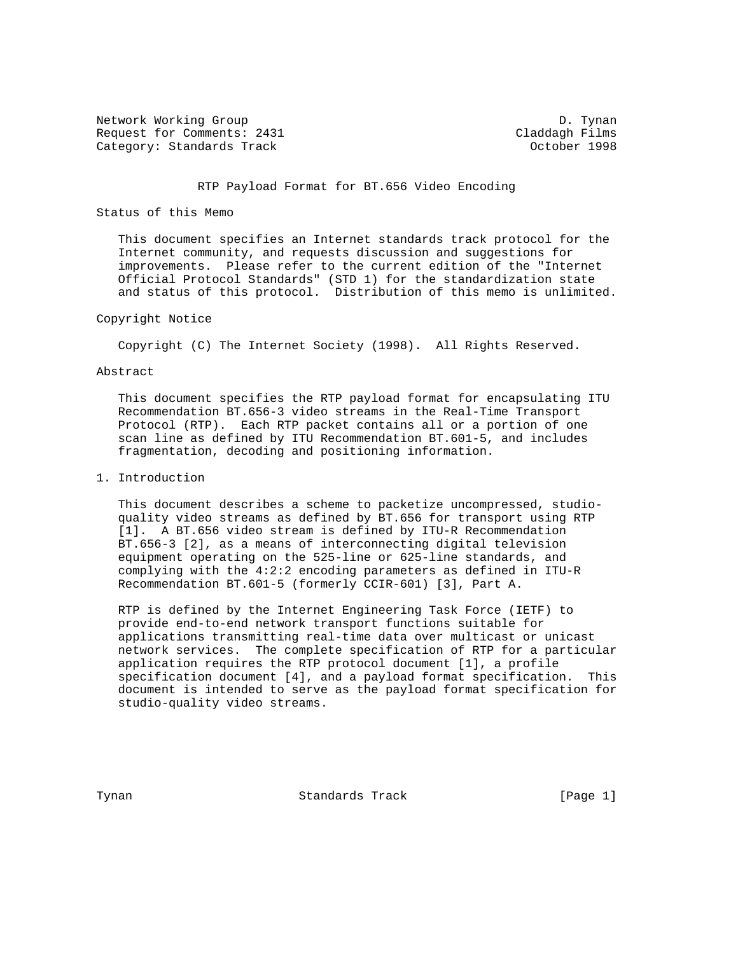Network Working Group Description of the United States of D. Tynan Request for Comments: 2431 Claddagh Films Category: Standards Track Category: Standards Track Category: October 1998

# RTP Payload Format for BT.656 Video Encoding

# Status of this Memo

 This document specifies an Internet standards track protocol for the Internet community, and requests discussion and suggestions for improvements. Please refer to the current edition of the "Internet Official Protocol Standards" (STD 1) for the standardization state and status of this protocol. Distribution of this memo is unlimited.

# Copyright Notice

Copyright (C) The Internet Society (1998). All Rights Reserved.

#### Abstract

 This document specifies the RTP payload format for encapsulating ITU Recommendation BT.656-3 video streams in the Real-Time Transport Protocol (RTP). Each RTP packet contains all or a portion of one scan line as defined by ITU Recommendation BT.601-5, and includes fragmentation, decoding and positioning information.

# 1. Introduction

 This document describes a scheme to packetize uncompressed, studio quality video streams as defined by BT.656 for transport using RTP [1]. A BT.656 video stream is defined by ITU-R Recommendation BT.656-3 [2], as a means of interconnecting digital television equipment operating on the 525-line or 625-line standards, and complying with the 4:2:2 encoding parameters as defined in ITU-R Recommendation BT.601-5 (formerly CCIR-601) [3], Part A.

 RTP is defined by the Internet Engineering Task Force (IETF) to provide end-to-end network transport functions suitable for applications transmitting real-time data over multicast or unicast network services. The complete specification of RTP for a particular application requires the RTP protocol document [1], a profile specification document [4], and a payload format specification. This document is intended to serve as the payload format specification for studio-quality video streams.

Tynan **Standards Track** [Page 1]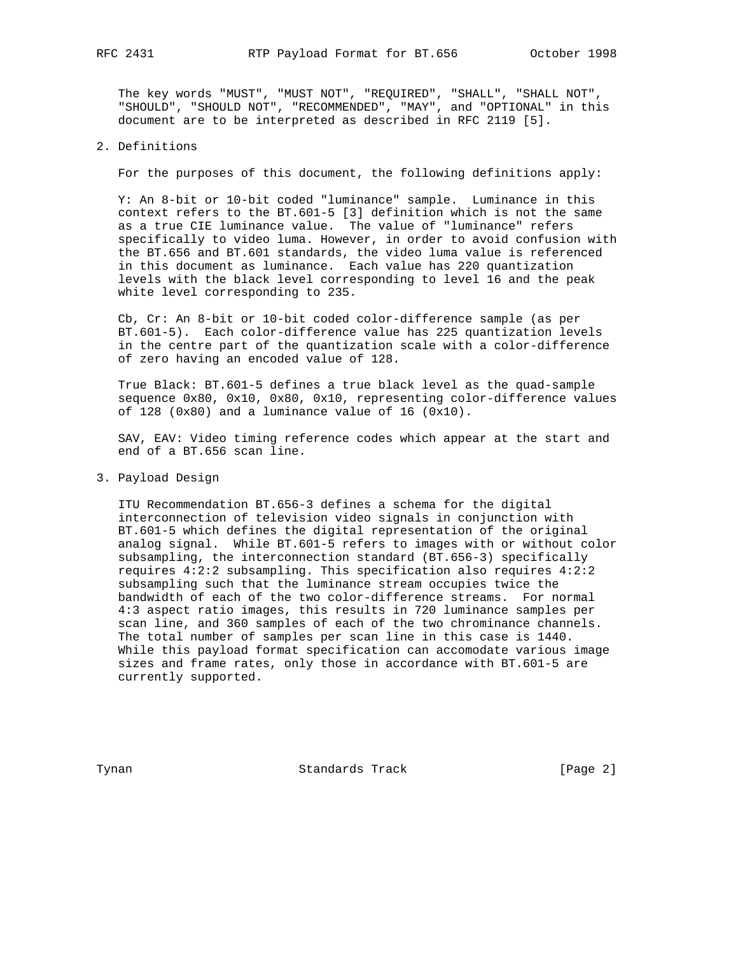The key words "MUST", "MUST NOT", "REQUIRED", "SHALL", "SHALL NOT", "SHOULD", "SHOULD NOT", "RECOMMENDED", "MAY", and "OPTIONAL" in this document are to be interpreted as described in RFC 2119 [5].

# 2. Definitions

For the purposes of this document, the following definitions apply:

 Y: An 8-bit or 10-bit coded "luminance" sample. Luminance in this context refers to the BT.601-5 [3] definition which is not the same as a true CIE luminance value. The value of "luminance" refers specifically to video luma. However, in order to avoid confusion with the BT.656 and BT.601 standards, the video luma value is referenced in this document as luminance. Each value has 220 quantization levels with the black level corresponding to level 16 and the peak white level corresponding to 235.

 Cb, Cr: An 8-bit or 10-bit coded color-difference sample (as per BT.601-5). Each color-difference value has 225 quantization levels in the centre part of the quantization scale with a color-difference of zero having an encoded value of 128.

 True Black: BT.601-5 defines a true black level as the quad-sample sequence 0x80, 0x10, 0x80, 0x10, representing color-difference values of 128 (0x80) and a luminance value of 16 (0x10).

 SAV, EAV: Video timing reference codes which appear at the start and end of a BT.656 scan line.

### 3. Payload Design

 ITU Recommendation BT.656-3 defines a schema for the digital interconnection of television video signals in conjunction with BT.601-5 which defines the digital representation of the original analog signal. While BT.601-5 refers to images with or without color subsampling, the interconnection standard (BT.656-3) specifically requires 4:2:2 subsampling. This specification also requires 4:2:2 subsampling such that the luminance stream occupies twice the bandwidth of each of the two color-difference streams. For normal 4:3 aspect ratio images, this results in 720 luminance samples per scan line, and 360 samples of each of the two chrominance channels. The total number of samples per scan line in this case is 1440. While this payload format specification can accomodate various image sizes and frame rates, only those in accordance with BT.601-5 are currently supported.

Tynan **Standards Track** [Page 2]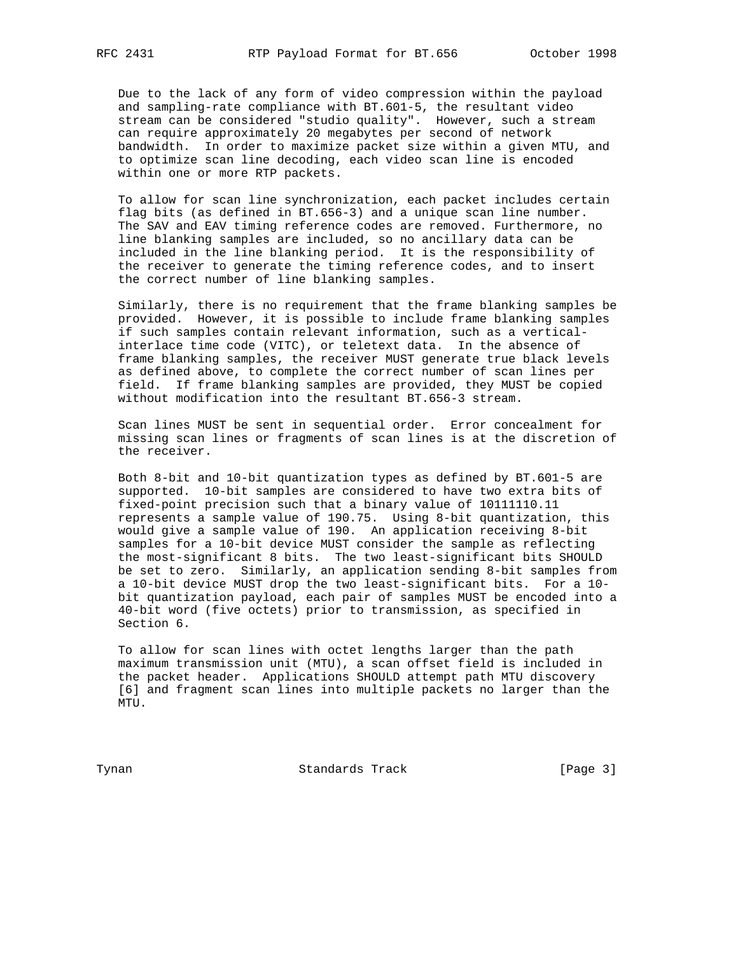Due to the lack of any form of video compression within the payload and sampling-rate compliance with BT.601-5, the resultant video stream can be considered "studio quality". However, such a stream can require approximately 20 megabytes per second of network bandwidth. In order to maximize packet size within a given MTU, and to optimize scan line decoding, each video scan line is encoded within one or more RTP packets.

 To allow for scan line synchronization, each packet includes certain flag bits (as defined in BT.656-3) and a unique scan line number. The SAV and EAV timing reference codes are removed. Furthermore, no line blanking samples are included, so no ancillary data can be included in the line blanking period. It is the responsibility of the receiver to generate the timing reference codes, and to insert the correct number of line blanking samples.

 Similarly, there is no requirement that the frame blanking samples be provided. However, it is possible to include frame blanking samples if such samples contain relevant information, such as a vertical interlace time code (VITC), or teletext data. In the absence of frame blanking samples, the receiver MUST generate true black levels as defined above, to complete the correct number of scan lines per field. If frame blanking samples are provided, they MUST be copied without modification into the resultant BT.656-3 stream.

 Scan lines MUST be sent in sequential order. Error concealment for missing scan lines or fragments of scan lines is at the discretion of the receiver.

 Both 8-bit and 10-bit quantization types as defined by BT.601-5 are supported. 10-bit samples are considered to have two extra bits of fixed-point precision such that a binary value of 10111110.11 represents a sample value of 190.75. Using 8-bit quantization, this would give a sample value of 190. An application receiving 8-bit samples for a 10-bit device MUST consider the sample as reflecting the most-significant 8 bits. The two least-significant bits SHOULD be set to zero. Similarly, an application sending 8-bit samples from a 10-bit device MUST drop the two least-significant bits. For a 10 bit quantization payload, each pair of samples MUST be encoded into a 40-bit word (five octets) prior to transmission, as specified in Section 6.

 To allow for scan lines with octet lengths larger than the path maximum transmission unit (MTU), a scan offset field is included in the packet header. Applications SHOULD attempt path MTU discovery [6] and fragment scan lines into multiple packets no larger than the MTU.

Tynan **Standards Track** [Page 3]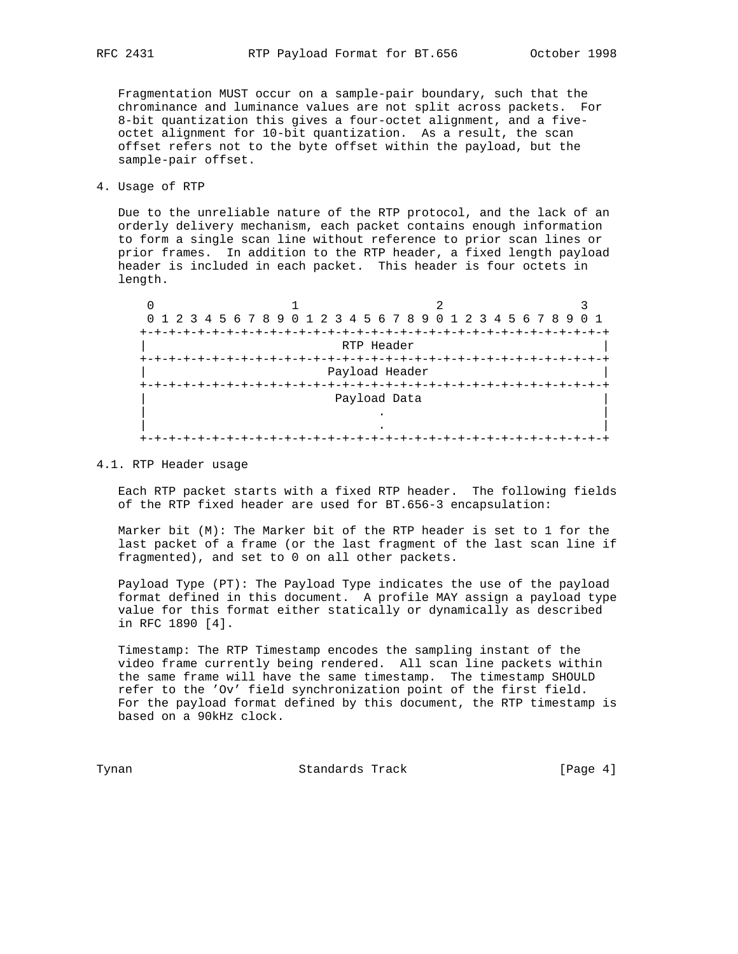Fragmentation MUST occur on a sample-pair boundary, such that the chrominance and luminance values are not split across packets. For 8-bit quantization this gives a four-octet alignment, and a five octet alignment for 10-bit quantization. As a result, the scan offset refers not to the byte offset within the payload, but the sample-pair offset.

4. Usage of RTP

 Due to the unreliable nature of the RTP protocol, and the lack of an orderly delivery mechanism, each packet contains enough information to form a single scan line without reference to prior scan lines or prior frames. In addition to the RTP header, a fixed length payload header is included in each packet. This header is four octets in length.

|         | 0 1 2 3 4 5 6 7 8 9 0 1 2 3 4 5 6 7 8 9 0 1 2 3 4 5 6 7 8 9 |            |  |  |  |  |  |  |  |
|---------|-------------------------------------------------------------|------------|--|--|--|--|--|--|--|
|         |                                                             |            |  |  |  |  |  |  |  |
|         |                                                             | RTP Header |  |  |  |  |  |  |  |
|         |                                                             |            |  |  |  |  |  |  |  |
|         | Payload Header                                              |            |  |  |  |  |  |  |  |
| $+-$    |                                                             |            |  |  |  |  |  |  |  |
|         | Payload Data                                                |            |  |  |  |  |  |  |  |
|         |                                                             |            |  |  |  |  |  |  |  |
|         |                                                             |            |  |  |  |  |  |  |  |
| $+ - +$ |                                                             |            |  |  |  |  |  |  |  |

### 4.1. RTP Header usage

 Each RTP packet starts with a fixed RTP header. The following fields of the RTP fixed header are used for BT.656-3 encapsulation:

 Marker bit (M): The Marker bit of the RTP header is set to 1 for the last packet of a frame (or the last fragment of the last scan line if fragmented), and set to 0 on all other packets.

 Payload Type (PT): The Payload Type indicates the use of the payload format defined in this document. A profile MAY assign a payload type value for this format either statically or dynamically as described in RFC 1890 [4].

 Timestamp: The RTP Timestamp encodes the sampling instant of the video frame currently being rendered. All scan line packets within the same frame will have the same timestamp. The timestamp SHOULD refer to the 'Ov' field synchronization point of the first field. For the payload format defined by this document, the RTP timestamp is based on a 90kHz clock.

Tynan **Standards Track** [Page 4]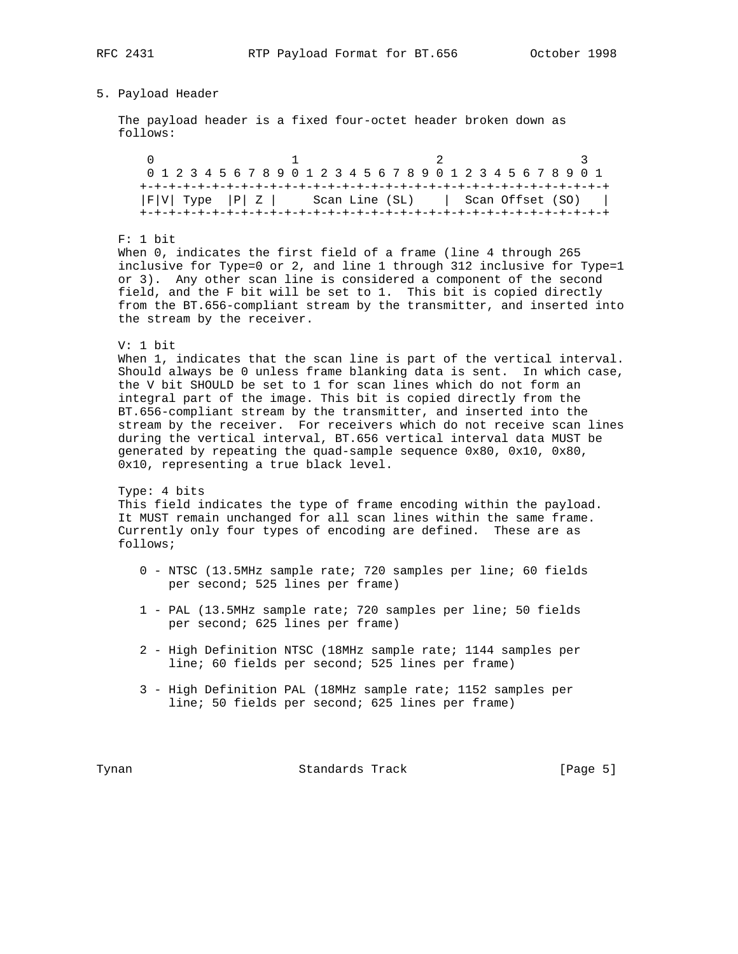# 5. Payload Header

 The payload header is a fixed four-octet header broken down as follows:

0  $1$  2 3 0 1 2 3 4 5 6 7 8 9 0 1 2 3 4 5 6 7 8 9 0 1 2 3 4 5 6 7 8 9 0 1 +-+-+-+-+-+-+-+-+-+-+-+-+-+-+-+-+-+-+-+-+-+-+-+-+-+-+-+-+-+-+-+-+  $|F|V|$  Type  $|P|Z|$  Scan Line (SL) | Scan Offset (SO) | +-+-+-+-+-+-+-+-+-+-+-+-+-+-+-+-+-+-+-+-+-+-+-+-+-+-+-+-+-+-+-+-+

### F: 1 bit

 When 0, indicates the first field of a frame (line 4 through 265 inclusive for Type=0 or 2, and line 1 through 312 inclusive for Type=1 or 3). Any other scan line is considered a component of the second field, and the F bit will be set to 1. This bit is copied directly from the BT.656-compliant stream by the transmitter, and inserted into the stream by the receiver.

#### V: 1 bit

 When 1, indicates that the scan line is part of the vertical interval. Should always be 0 unless frame blanking data is sent. In which case, the V bit SHOULD be set to 1 for scan lines which do not form an integral part of the image. This bit is copied directly from the BT.656-compliant stream by the transmitter, and inserted into the stream by the receiver. For receivers which do not receive scan lines during the vertical interval, BT.656 vertical interval data MUST be generated by repeating the quad-sample sequence 0x80, 0x10, 0x80, 0x10, representing a true black level.

 Type: 4 bits This field indicates the type of frame encoding within the payload. It MUST remain unchanged for all scan lines within the same frame. Currently only four types of encoding are defined. These are as follows;

- 0 NTSC (13.5MHz sample rate; 720 samples per line; 60 fields per second; 525 lines per frame)
- 1 PAL (13.5MHz sample rate; 720 samples per line; 50 fields per second; 625 lines per frame)
- 2 High Definition NTSC (18MHz sample rate; 1144 samples per line; 60 fields per second; 525 lines per frame)
- 3 High Definition PAL (18MHz sample rate; 1152 samples per line; 50 fields per second; 625 lines per frame)

Tynan Standards Track [Page 5]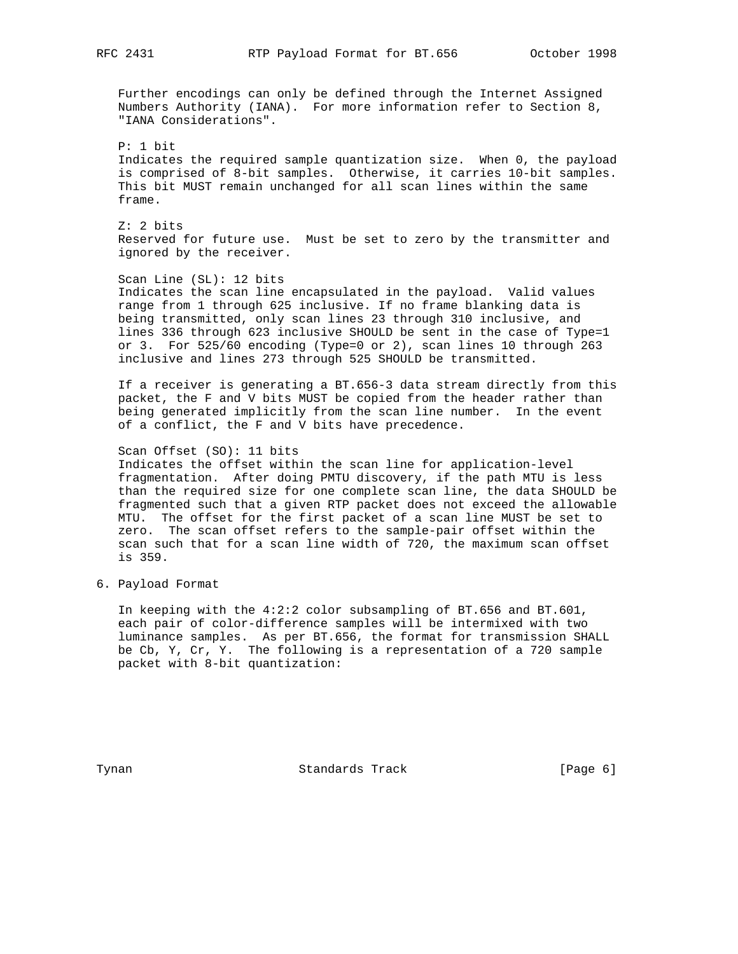RFC 2431 RTP Payload Format for BT.656 October 1998

 Further encodings can only be defined through the Internet Assigned Numbers Authority (IANA). For more information refer to Section 8, "IANA Considerations".

 P: 1 bit Indicates the required sample quantization size. When 0, the payload is comprised of 8-bit samples. Otherwise, it carries 10-bit samples. This bit MUST remain unchanged for all scan lines within the same frame.

 Z: 2 bits Reserved for future use. Must be set to zero by the transmitter and ignored by the receiver.

 Scan Line (SL): 12 bits Indicates the scan line encapsulated in the payload. Valid values range from 1 through 625 inclusive. If no frame blanking data is being transmitted, only scan lines 23 through 310 inclusive, and lines 336 through 623 inclusive SHOULD be sent in the case of Type=1 or 3. For 525/60 encoding (Type=0 or 2), scan lines 10 through 263 inclusive and lines 273 through 525 SHOULD be transmitted.

 If a receiver is generating a BT.656-3 data stream directly from this packet, the F and V bits MUST be copied from the header rather than being generated implicitly from the scan line number. In the event of a conflict, the F and V bits have precedence.

#### Scan Offset (SO): 11 bits

 Indicates the offset within the scan line for application-level fragmentation. After doing PMTU discovery, if the path MTU is less than the required size for one complete scan line, the data SHOULD be fragmented such that a given RTP packet does not exceed the allowable MTU. The offset for the first packet of a scan line MUST be set to zero. The scan offset refers to the sample-pair offset within the scan such that for a scan line width of 720, the maximum scan offset is 359.

6. Payload Format

 In keeping with the 4:2:2 color subsampling of BT.656 and BT.601, each pair of color-difference samples will be intermixed with two luminance samples. As per BT.656, the format for transmission SHALL be Cb, Y, Cr, Y. The following is a representation of a 720 sample packet with 8-bit quantization:

Tynan **Standards Track** [Page 6]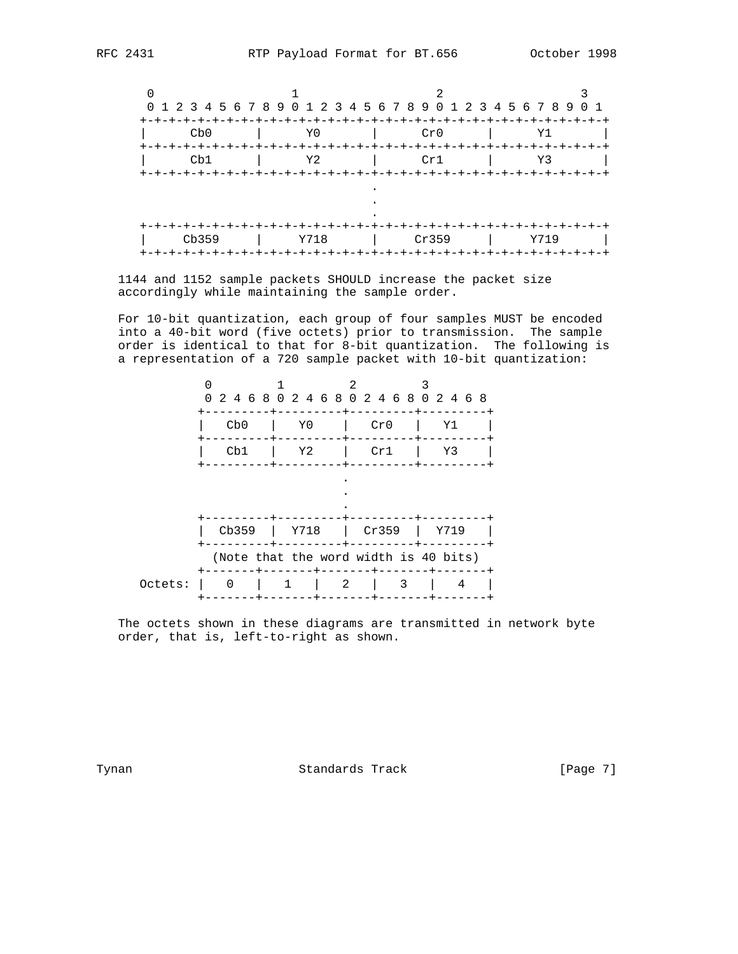

 1144 and 1152 sample packets SHOULD increase the packet size accordingly while maintaining the sample order.

 For 10-bit quantization, each group of four samples MUST be encoded into a 40-bit word (five octets) prior to transmission. The sample order is identical to that for 8-bit quantization. The following is a representation of a 720 sample packet with 10-bit quantization:

|                                       |          |      |   |       | 0 2 4 6 8 0 2 4 6 8 0 2 4 6 8 0 2 4 6 8 |
|---------------------------------------|----------|------|---|-------|-----------------------------------------|
|                                       | Cb0      | Y0   |   | Cr0   | Υ1                                      |
|                                       | Cb1      | Y2   |   | Cr1   | Y3                                      |
|                                       |          |      |   |       |                                         |
|                                       |          |      |   |       |                                         |
|                                       | Cb359    | Y718 |   | Cr359 | Y719                                    |
| (Note that the word width is 40 bits) |          |      |   |       |                                         |
| Octets:                               | $\Omega$ | 1    | 2 | 3     | 4                                       |

 The octets shown in these diagrams are transmitted in network byte order, that is, left-to-right as shown.

Tynan **Standards Track** [Page 7]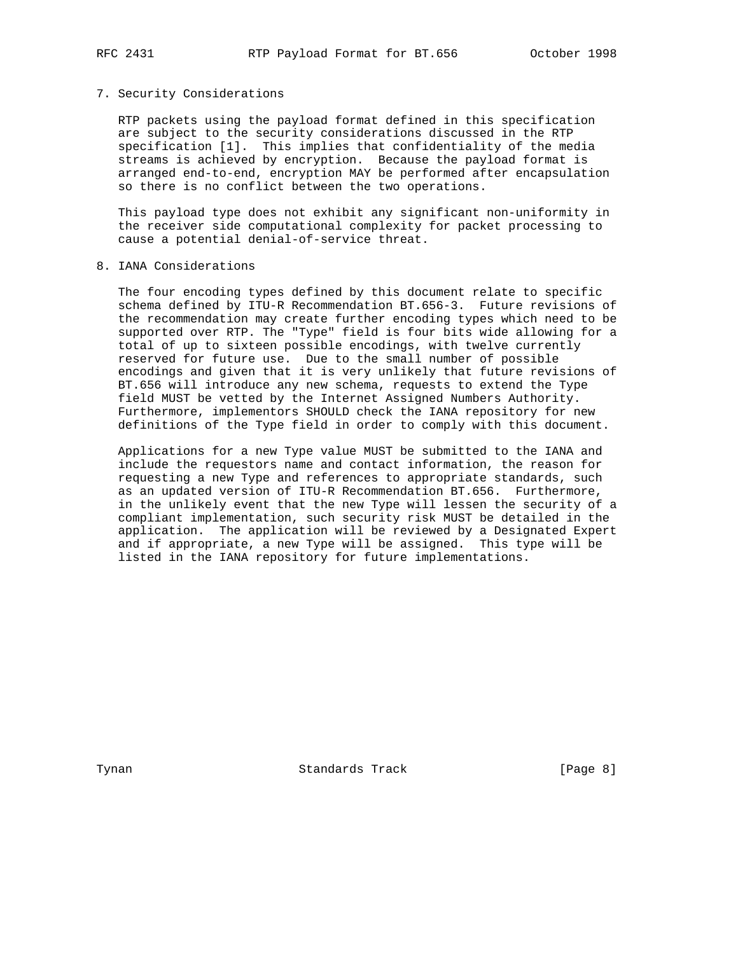#### 7. Security Considerations

 RTP packets using the payload format defined in this specification are subject to the security considerations discussed in the RTP specification [1]. This implies that confidentiality of the media streams is achieved by encryption. Because the payload format is arranged end-to-end, encryption MAY be performed after encapsulation so there is no conflict between the two operations.

 This payload type does not exhibit any significant non-uniformity in the receiver side computational complexity for packet processing to cause a potential denial-of-service threat.

# 8. IANA Considerations

 The four encoding types defined by this document relate to specific schema defined by ITU-R Recommendation BT.656-3. Future revisions of the recommendation may create further encoding types which need to be supported over RTP. The "Type" field is four bits wide allowing for a total of up to sixteen possible encodings, with twelve currently reserved for future use. Due to the small number of possible encodings and given that it is very unlikely that future revisions of BT.656 will introduce any new schema, requests to extend the Type field MUST be vetted by the Internet Assigned Numbers Authority. Furthermore, implementors SHOULD check the IANA repository for new definitions of the Type field in order to comply with this document.

 Applications for a new Type value MUST be submitted to the IANA and include the requestors name and contact information, the reason for requesting a new Type and references to appropriate standards, such as an updated version of ITU-R Recommendation BT.656. Furthermore, in the unlikely event that the new Type will lessen the security of a compliant implementation, such security risk MUST be detailed in the application. The application will be reviewed by a Designated Expert and if appropriate, a new Type will be assigned. This type will be listed in the IANA repository for future implementations.

Tynan **Standards Track** [Page 8]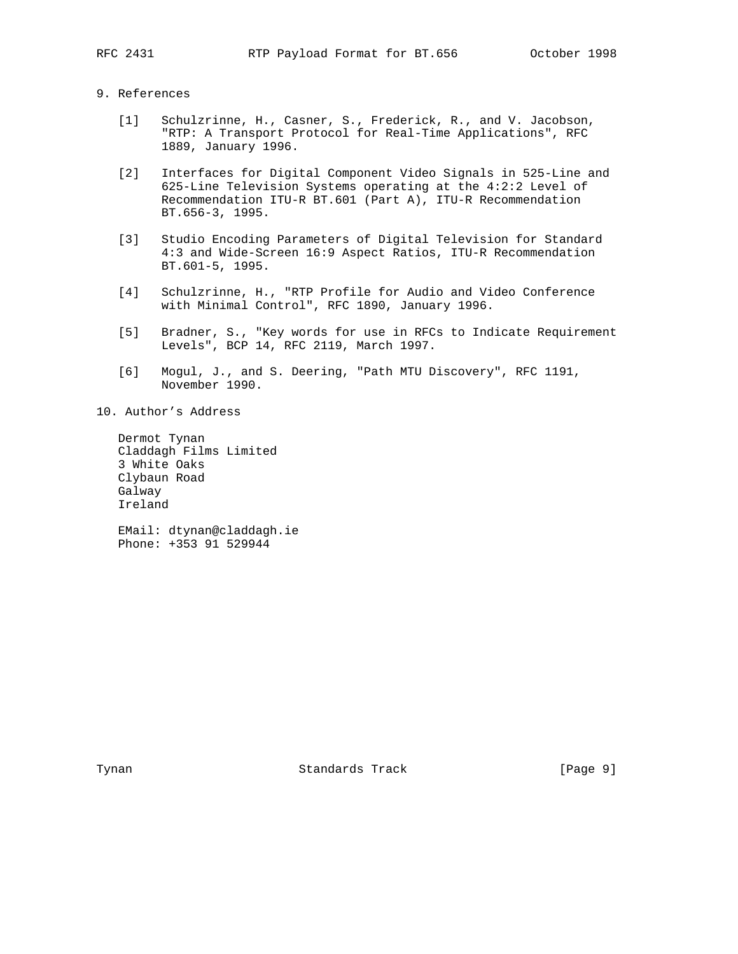# 9. References

- [1] Schulzrinne, H., Casner, S., Frederick, R., and V. Jacobson, "RTP: A Transport Protocol for Real-Time Applications", RFC 1889, January 1996.
- [2] Interfaces for Digital Component Video Signals in 525-Line and 625-Line Television Systems operating at the 4:2:2 Level of Recommendation ITU-R BT.601 (Part A), ITU-R Recommendation BT.656-3, 1995.
- [3] Studio Encoding Parameters of Digital Television for Standard 4:3 and Wide-Screen 16:9 Aspect Ratios, ITU-R Recommendation BT.601-5, 1995.
- [4] Schulzrinne, H., "RTP Profile for Audio and Video Conference with Minimal Control", RFC 1890, January 1996.
- [5] Bradner, S., "Key words for use in RFCs to Indicate Requirement Levels", BCP 14, RFC 2119, March 1997.
- [6] Mogul, J., and S. Deering, "Path MTU Discovery", RFC 1191, November 1990.
- 10. Author's Address

 Dermot Tynan Claddagh Films Limited 3 White Oaks Clybaun Road Galway Ireland

 EMail: dtynan@claddagh.ie Phone: +353 91 529944

Tynan **Standards Track** [Page 9]